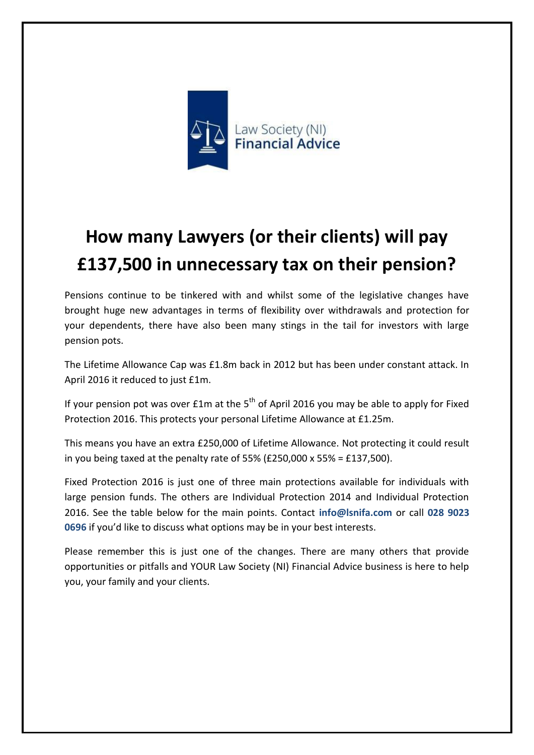

## **How many Lawyers (or their clients) will pay £137,500 in unnecessary tax on their pension?**

Pensions continue to be tinkered with and whilst some of the legislative changes have brought huge new advantages in terms of flexibility over withdrawals and protection for your dependents, there have also been many stings in the tail for investors with large pension pots.

The Lifetime Allowance Cap was £1.8m back in 2012 but has been under constant attack. In April 2016 it reduced to just £1m.

If your pension pot was over  $£1m$  at the  $5<sup>th</sup>$  of April 2016 you may be able to apply for Fixed Protection 2016. This protects your personal Lifetime Allowance at £1.25m.

This means you have an extra £250,000 of Lifetime Allowance. Not protecting it could result in you being taxed at the penalty rate of 55% ( $£250,000 \times 55\% = £137,500$ ).

Fixed Protection 2016 is just one of three main protections available for individuals with large pension funds. The others are Individual Protection 2014 and Individual Protection 2016. See the table below for the main points. Contact **info@lsnifa.com** or call **028 9023 0696** if you'd like to discuss what options may be in your best interests.

Please remember this is just one of the changes. There are many others that provide opportunities or pitfalls and YOUR Law Society (NI) Financial Advice business is here to help you, your family and your clients.